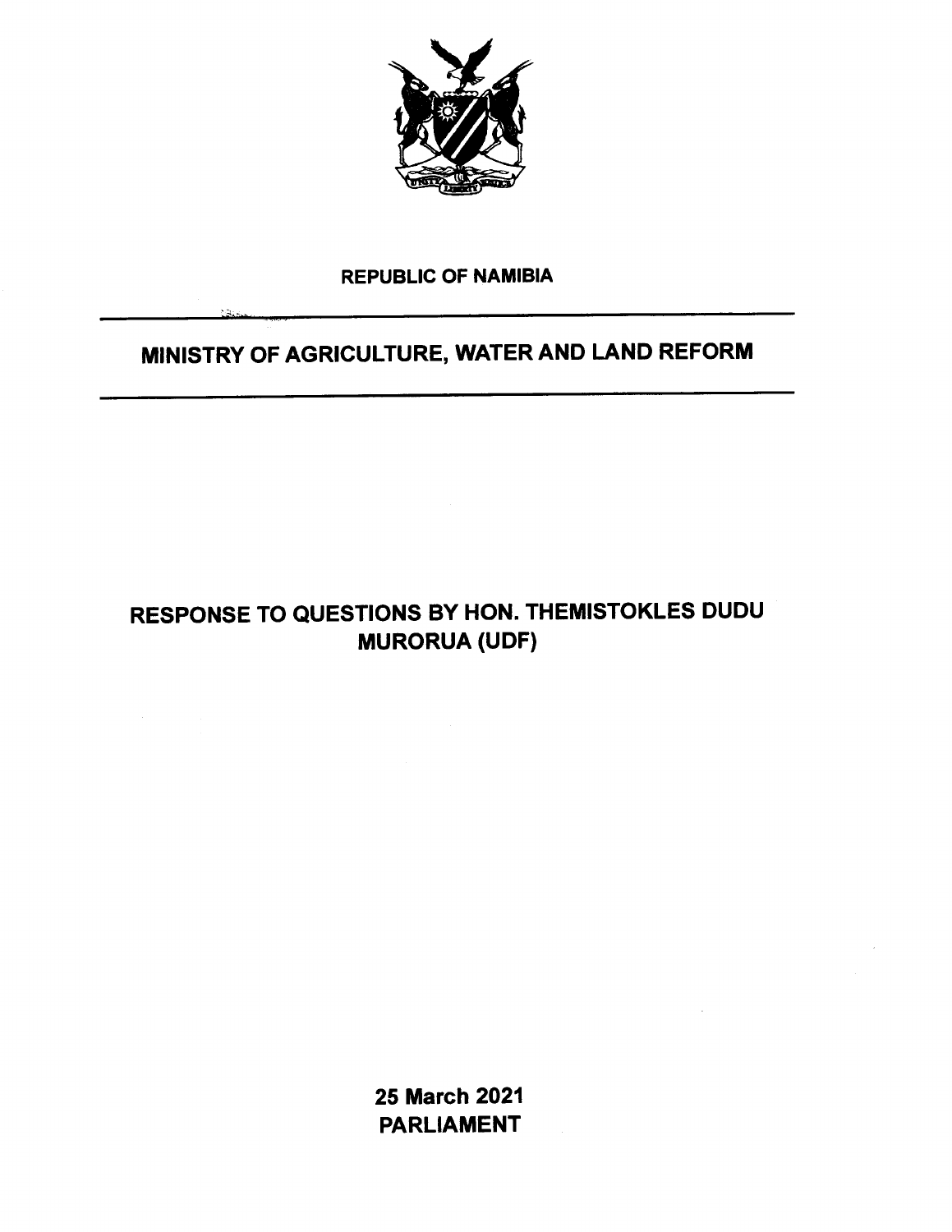

#### REPUBLIC OF NAMIBIA

.-.-', "'"",.')

### MINISTRY OF AGRICULTURE, WATER AND LAND REFORM

# RESPONSE TO QUESTIONS BY HON. THEMISTOKLES DUDU MURORUA (UDF)

25 March 2021 PARLIAMENT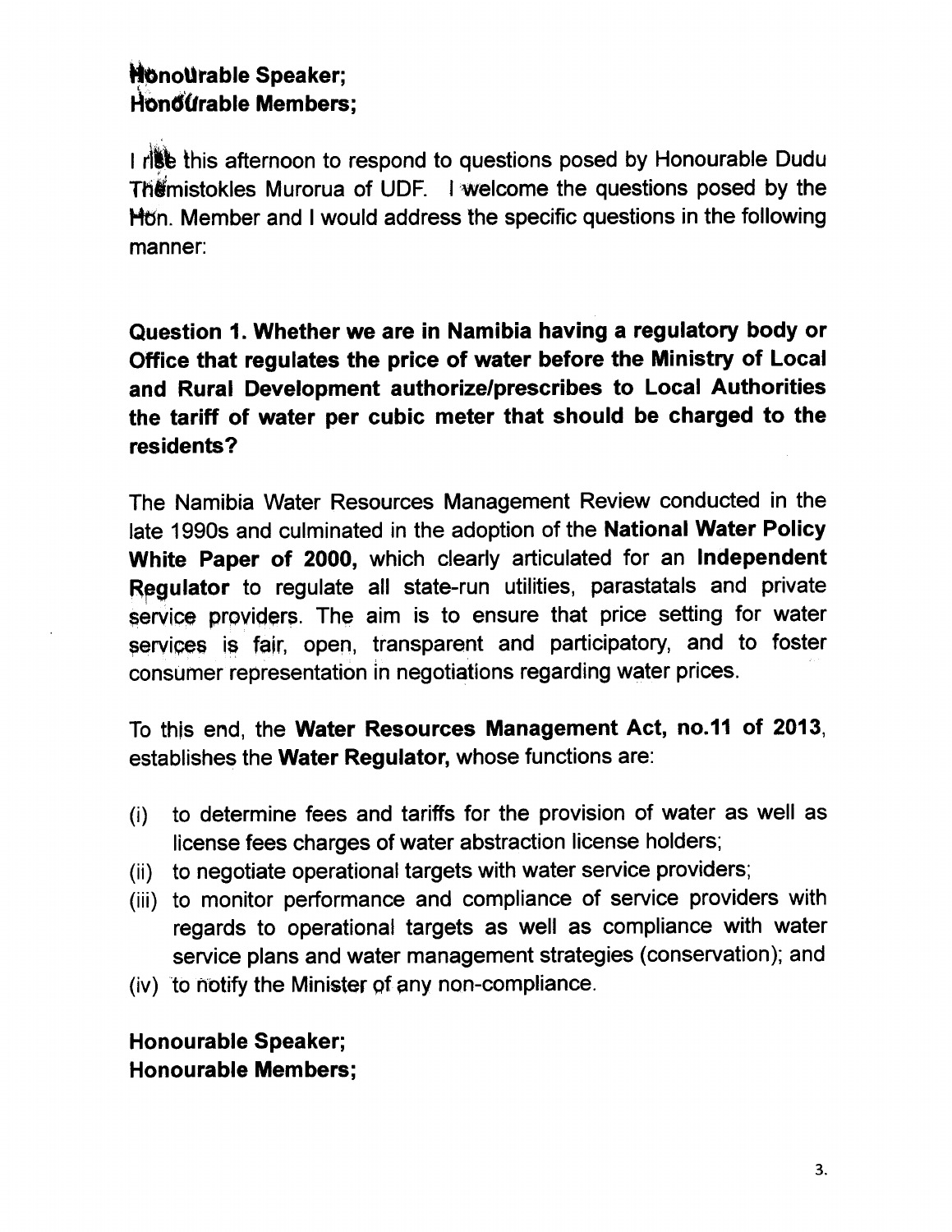## **Honourable Speaker;**  $Hom@$ urable Members:

I rist this afternoon to respond to questions posed by Honourable Dudu Themistokles Murorua of UDF. I welcome the questions posed by the Hon. Member and I would address the specific questions in the following manner:

Question 1.Whether we are in Namibia having a regulatory body or Office that regulates the price of water before the Ministry of Local and Rural Development authorize/prescribes to Local Authorities the tariff of water per cubic meter that should be charged to the residents?

The Namibia Water Resources Management Review conducted in the late 1990s and culminated in the adoption of the National Water Policy White Paper of 2000, which clearly articulated for an Independent Requiator to regulate all state-run utilities, parastatals and private service providers. The aim is to ensure that price setting for water services is fair, open, transparent and participatory, and to foster consumer representation in negotiations regarding water prices.

To this end, the Water Resources Management Act, no.11 of 2013, establishes the Water Regulator, whose functions are:

- (i) to determine fees and tariffs for the provision of water as well as license fees charges of water abstraction license holders;
- (ii) to negotiate operational targets with water service providers;
- (iii) to monitor performance and compliance of service providers with regards to operational targets as well as compliance with water service plans and water management strategies (conservation); and
- $(iv)$  to notify the Minister of any non-compliance.

Honourable Speaker; Honourable Members;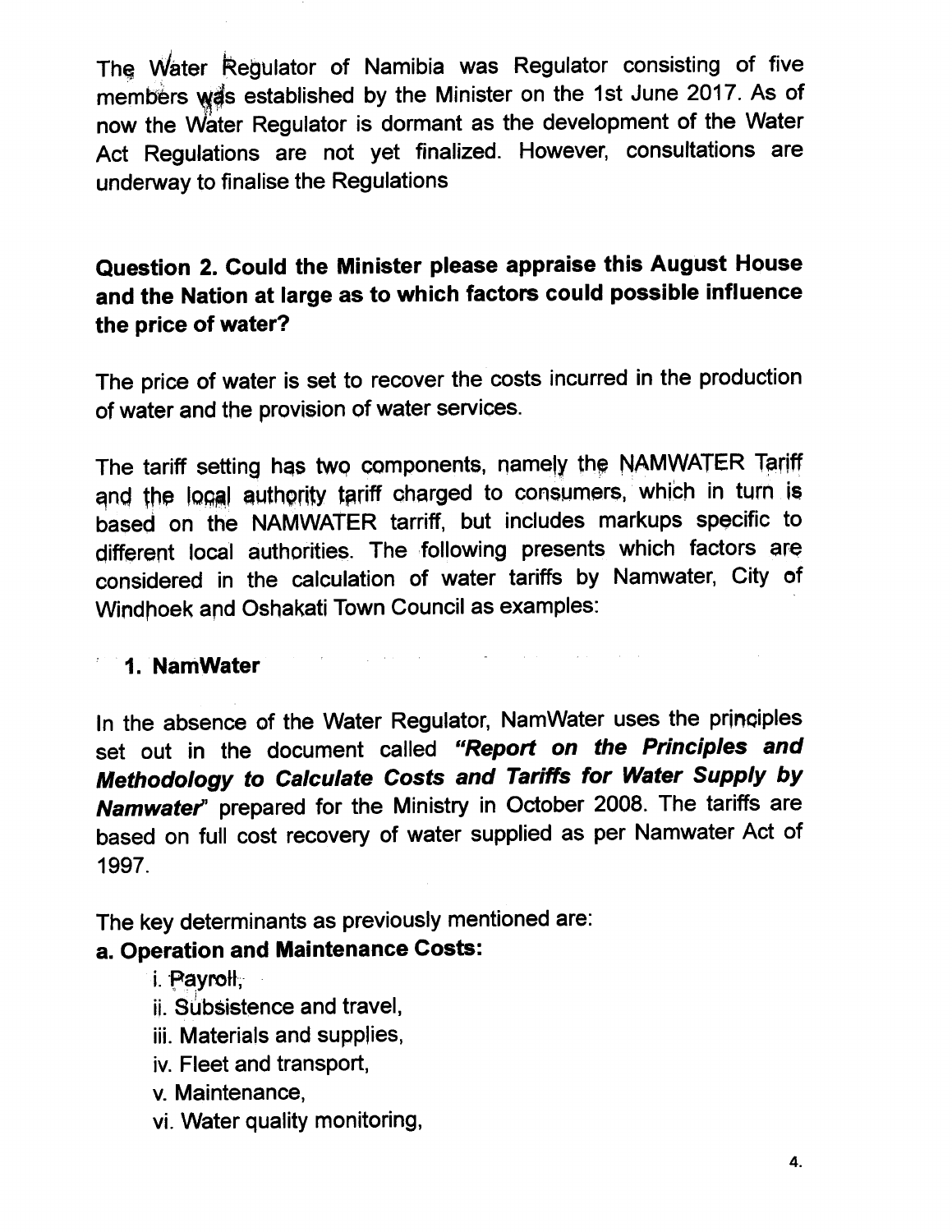The Water Regulator of Namibia was Regulator consisting of five members was established by the Minister on the 1st June 2017. As of now the Water Regulator is dormant as the development of the Water Act Regulations are not yet finalized. However, consultations are underway to finalise the Regulations

## Question 2. Could the Minister please appraise this August House and the Nation at large as to which factors could possible influence the price of water?

The price of water is set to recover the costs incurred in the production of water and the provision of water services.

The tariff setting has two components, namely the NAMWATER Tariff and the local authority tariff charged to consumers, which in turn is based on the NAMWATER tarriff, but includes markups specific to different local authorities. The following presents which factors are considered in the calculation of water tariffs by Namwater, City of Windhoek and Oshakati Town Council as examples:

 $\hat{f}$  and  $\hat{f}$  are the set of the set of the set of the set of the set of the set of the set of the set of the set of the set of the set of the set of the set of the set of the set of the set of the set of the set of

#### , 1. NamWater

In the absence of the Water Regulator, NamWater uses the principles set out in the document called *"Report* on *the Principles and Methodology* to *Calculate Costs and Tariffs for Water Supply by Namwater'* prepared for the Ministry in October 2008. The tariffs are based on full cost recovery of water supplied as per Namwater Act of 1997.

The key determinants as previously mentioned are:

 $\mathbf{r} = \left\{ \begin{array}{ll} 0 & \text{if} \ \mathbf{r} = \mathbf{r} \ \mathbf{r} = \mathbf{r} \end{array} \right.$ 

#### a. Operation and Maintenance Costs:

i. Pavroll.

- ii. Subsistence and travel,
- iii. Materials and supplies,
- iv. Fleet and transport,
- v. Maintenance,
- vi. Water quality monitoring,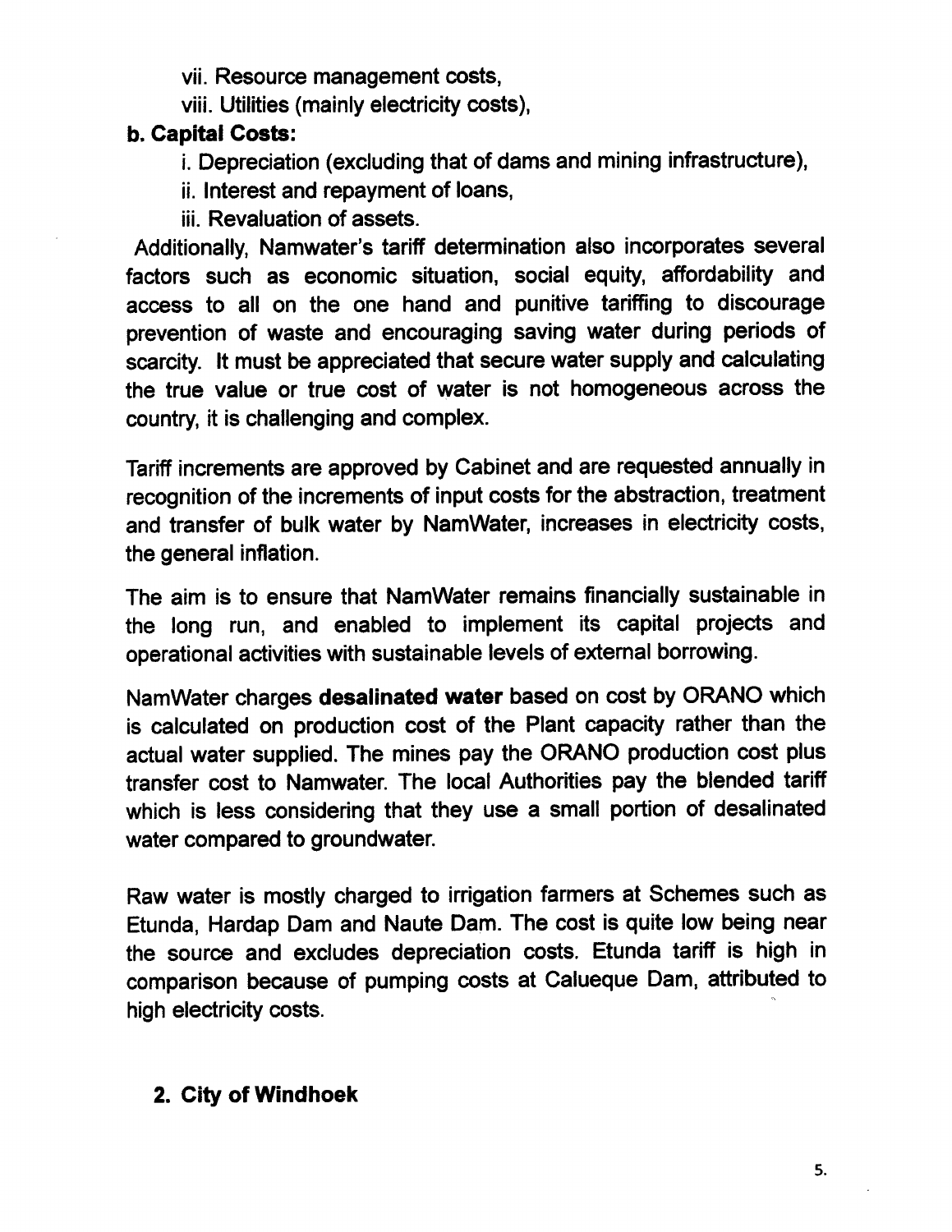vii. Resource management costs,

viii. Utilities (mainly electricity costs),

### b. Capital Costs:

- i. Depreciation (excluding that of dams and mining infrastructure),
- ii. Interest and repayment of loans,
- iii. Revaluation of assets.

Additionally, Namwater's tariff determination also incorporates several factors such as economic situation, social equity, affordability and access to all on the one hand and punitive tariffing to discourage prevention of waste and encouraging saving water during periods of scarcity. It must be appreciated that secure water supply and calculating the true value or true cost of water is not homogeneous across the country, it is challenging and complex.

Tariff increments are approved by Cabinet and are requested annually in recognition of the increments of input costs for the abstraction, treatment and transfer of bulk water by NamWater, increases in electricity costs, the general inflation.

The aim is to ensure that NamWater remains financially sustainable in the long run, and enabled to implement its capital projects and operational activities with sustainable levels of external borrowing.

NamWater charges desalinated water based on cost by ORAND which is calculated on production cost of the Plant capacity rather than the actual water supplied. The mines pay the ORAND production cost plus transfer cost to Namwater. The local Authorities pay the blended tariff which is less considering that they use a small portion of desalinated water compared to groundwater.

Raw water is mostly charged to irrigation farmers at Schemes such as Etunda, Hardap Dam and Naute Dam. The cost is quite low being near the source and excludes depreciation costs. Etunda tariff is high in comparison because of pumping costs at Calueque Dam, attributed to high electricity costs.

# 2. City of Windhoek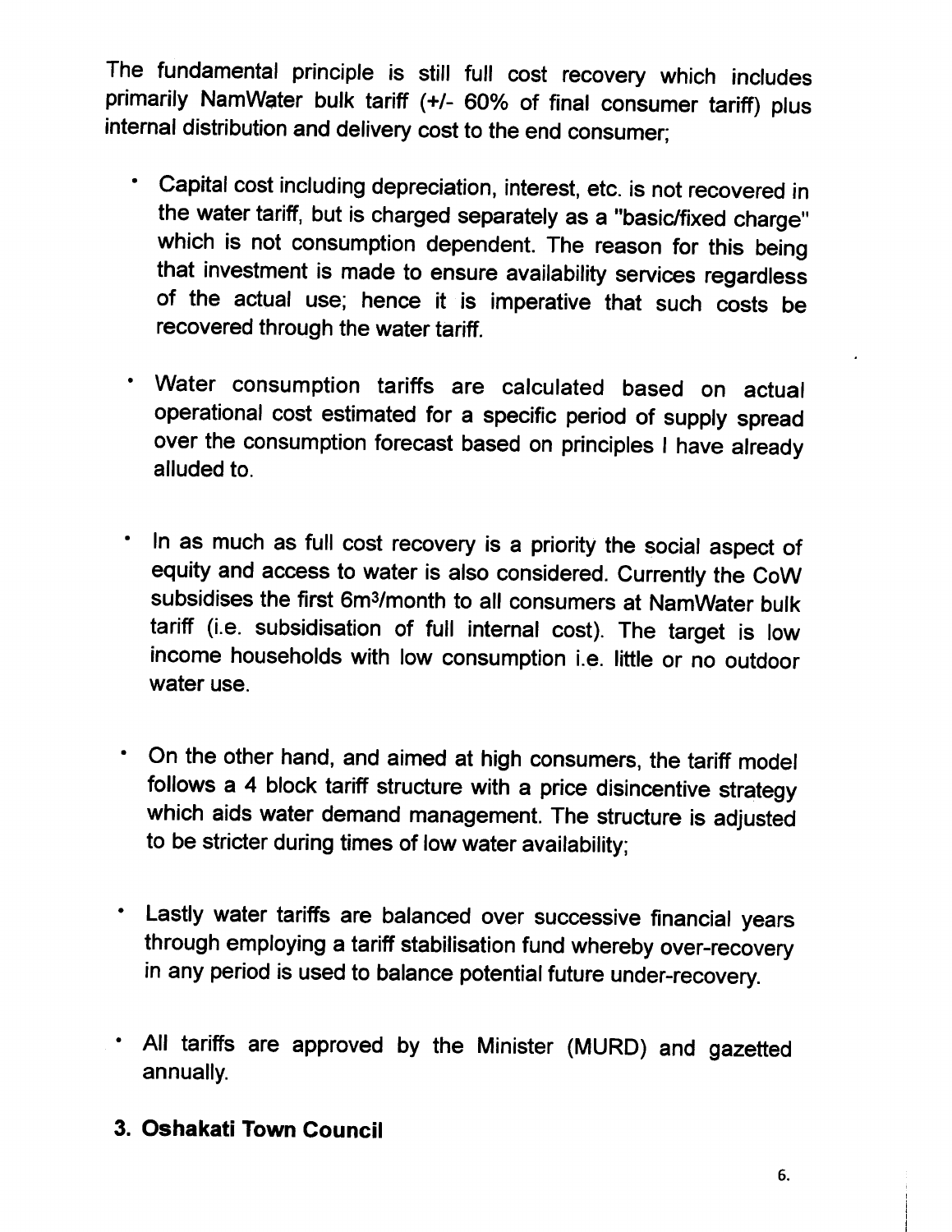The fundamental principle is still full cost recovery which includes primarily NamWater bulk tariff (+/- 60% of final consumer tariff) plus internal distribution and delivery cost to the end consumer;

- Capital cost including depreciation, interest, etc. is not recovered in the water tariff, but is charged separately as a "basic/fixed charge" which is not consumption dependent. The reason for this being that investment is made to ensure availability services regardless of the actual use; hence it is imperative that such costs be recovered through the water tariff.
- Water consumption tariffs are calculated based on actual operational cost estimated for a specific period of supply spread over the consumption forecast based on principles I have already alluded to.
- In as much as full cost recovery is a priority the social aspect of equity and access to water is also considered. Currently the CoW subsidises the first 6m3/month to all consumers at NamWater bulk tariff (i.e. subsidisation of full internal cost). The target is low income households with low consumption i.e. little or no outdoor water use.
- On the other hand, and aimed at high consumers, the tariff model follows a 4 block tariff structure with a price disincentive strategy which aids water demand management. The structure is adjusted to be stricter during times of low water availability;
- Lastly water tariffs are balanced over successive financial years through employing a tariff stabilisation fund whereby over-recovery in any period is used to balance potential future under-recovery.
- All tariffs are approved by the Minister (MURD) and gazetted annually.
- 3. **Oshakati Town Council**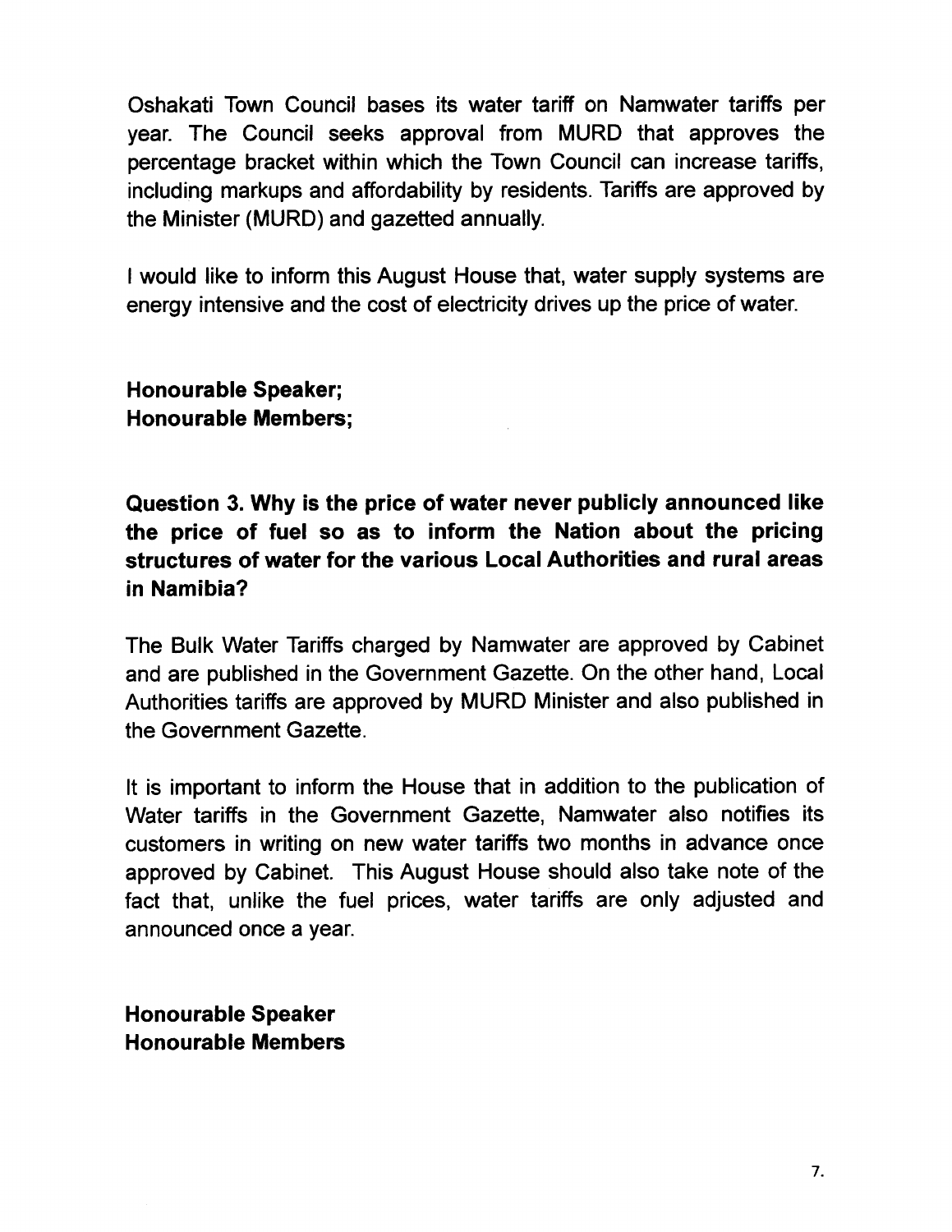Oshakati Town Council bases its water tariff on Namwater tariffs per year. The Council seeks approval from MURD that approves the percentage bracket within which the Town Council can increase tariffs, including markups and affordability by residents. Tariffs are approved by the Minister (MURD) and gazetted annually.

I would like to inform this August House that, water supply systems are energy intensive and the cost of electricity drives up the price of water.

Honourable Speaker; Honourable Members;

Question 3. Why is the price of water never publicly announced like the price of fuel so as to inform the Nation about the pricing structures of water for the various Local Authorities and rural areas in Namibia?

The Bulk Water Tariffs charged by Namwater are approved by Cabinet and are published in the Government Gazette. On the other hand, Local Authorities tariffs are approved by MURD Minister and also published in the Government Gazette.

It is important to inform the House that in addition to the publication of Water tariffs in the Government Gazette, Namwater also notifies its customers in writing on new water tariffs two months in advance once approved by Cabinet. This August House should also take note of the fact that, unlike the fuel prices, water tariffs are only adjusted and announced once a year.

Honourable Speaker Honourable Members